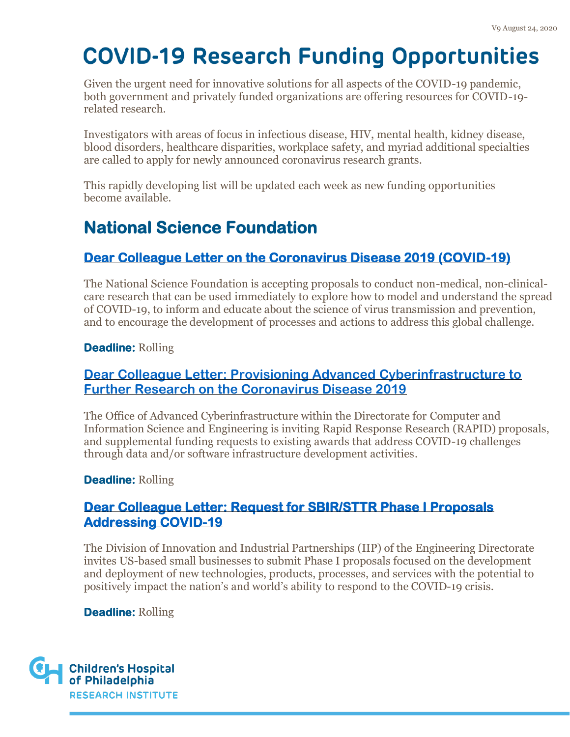Given the urgent need for innovative solutions for all aspects of the COVID-19 pandemic, both government and privately funded organizations are offering resources for COVID-19 related research.

Investigators with areas of focus in infectious disease, HIV, mental health, kidney disease, blood disorders, healthcare disparities, workplace safety, and myriad additional specialties are called to apply for newly announced coronavirus research grants.

This rapidly developing list will be updated each week as new funding opportunities become available.

## **National Science Foundation**

#### **[Dear Colleague Letter on the Coronavirus Disease 2019 \(COVID-19\)](https://www.nsf.gov/pubs/2020/nsf20052/nsf20052.pdf)**

The National Science Foundation is accepting proposals to conduct non-medical, non-clinicalcare research that can be used immediately to explore how to model and understand the spread of COVID-19, to inform and educate about the science of virus transmission and prevention, and to encourage the development of processes and actions to address this global challenge.

#### **Deadline:** Rolling

#### **[Dear Colleague Letter: Provisioning Advanced Cyberinfrastructure to](https://www.nsf.gov/pubs/2020/nsf20055/nsf20055.jsp)  [Further Research on the Coronavirus Disease 2019](https://www.nsf.gov/pubs/2020/nsf20055/nsf20055.jsp)**

The Office of Advanced Cyberinfrastructure within the Directorate for Computer and Information Science and Engineering is inviting Rapid Response Research (RAPID) proposals, and supplemental funding requests to existing awards that address COVID-19 challenges through data and/or software infrastructure development activities.

#### **Deadline:** Rolling

#### **[Dear Colleague Letter: Request for SBIR/STTR Phase I Proposals](https://www.nsf.gov/pubs/2020/nsf20065/nsf20065.pdf)  [Addressing COVID-19](https://www.nsf.gov/pubs/2020/nsf20065/nsf20065.pdf)**

The Division of Innovation and Industrial Partnerships (IIP) of the Engineering Directorate invites US-based small businesses to submit Phase I proposals focused on the development and deployment of new technologies, products, processes, and services with the potential to positively impact the nation's and world's ability to respond to the COVID-19 crisis.

**Deadline:** Rolling

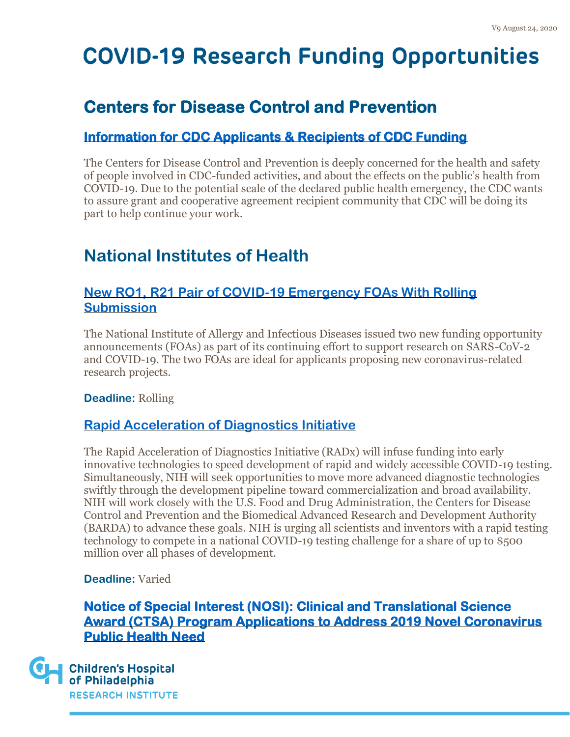### **Centers for Disease Control and Prevention**

#### **[Information for CDC Applicants & Recipients of CDC Funding](https://www.cdc.gov/grants/public-health-emergencies/covid-19/index.html)**

The Centers for Disease Control and Prevention is deeply concerned for the health and safety of people involved in CDC-funded activities, and about the effects on the public's health from COVID-19. Due to the potential scale of the declared public health emergency, the CDC wants to assure grant and cooperative agreement recipient community that CDC will be doing its part to help continue your work.

### **National Institutes of Health**

#### **[New RO1, R21 Pair of COVID-19 Emergency FOAs With Rolling](https://www.niaid.nih.gov/grants-contracts/covid-19-rolling-foa-pair)  [Submission](https://www.niaid.nih.gov/grants-contracts/covid-19-rolling-foa-pair)**

The National Institute of Allergy and Infectious Diseases issued two new funding opportunity announcements (FOAs) as part of its continuing effort to support research on SARS-CoV-2 and COVID-19. The two FOAs are ideal for applicants proposing new coronavirus-related research projects.

**Deadline:** Rolling

#### **[Rapid Acceleration of Diagnostics Initiative](https://www.nih.gov/research-training/medical-research-initiatives/radx/funding)**

The Rapid Acceleration of Diagnostics Initiative (RADx) will infuse funding into early innovative technologies to speed development of rapid and widely accessible COVID-19 testing. Simultaneously, NIH will seek opportunities to move more advanced diagnostic technologies swiftly through the development pipeline toward commercialization and broad availability. NIH will work closely with the U.S. Food and Drug Administration, the Centers for Disease Control and Prevention and the Biomedical Advanced Research and Development Authority (BARDA) to advance these goals. NIH is urging all scientists and inventors with a rapid testing technology to compete in a national COVID-19 testing challenge for a share of up to \$500 million over all phases of development.

#### **Deadline:** Varied

#### **[Notice of Special Interest \(NOSI\): Clinical and Translational Science](https://grants.nih.gov/grants/guide/notice-files/NOT-TR-20-011.html)  [Award \(CTSA\) Program Applications to Address 2019 Novel Coronavirus](https://grants.nih.gov/grants/guide/notice-files/NOT-TR-20-011.html)  [Public Health Need](https://grants.nih.gov/grants/guide/notice-files/NOT-TR-20-011.html)**

**Children's Hospital** of Philadelphia **RESEARCH INSTITUTE**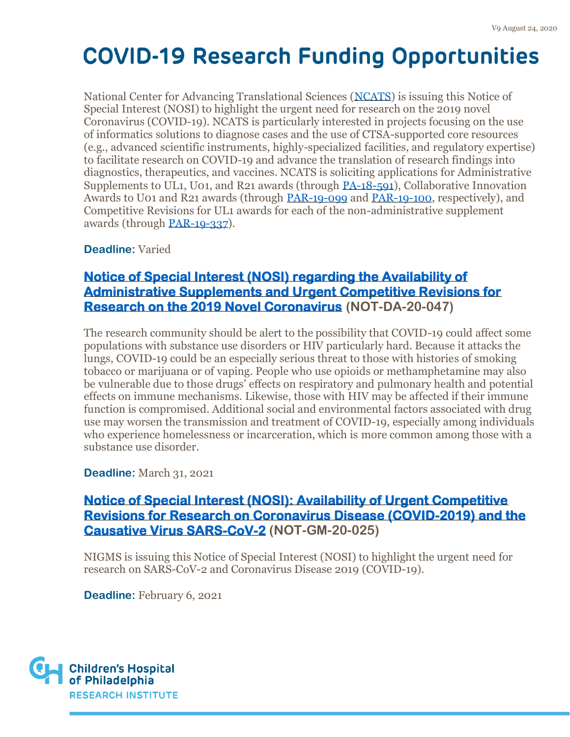National Center for Advancing Translational Sciences [\(NCATS\)](http://ncats.nih.gov/) is issuing this Notice of Special Interest (NOSI) to highlight the urgent need for research on the 2019 novel Coronavirus (COVID-19). NCATS is particularly interested in projects focusing on the use of informatics solutions to diagnose cases and the use of CTSA-supported core resources (e.g., advanced scientific instruments, highly-specialized facilities, and regulatory expertise) to facilitate research on COVID-19 and advance the translation of research findings into diagnostics, therapeutics, and vaccines. NCATS is soliciting applications for Administrative Supplements to UL1, U01, and R21 awards (through [PA-18-591\)](https://grants.nih.gov/grants/guide/pa-files/PA-18-591.html), Collaborative Innovation Awards to U01 and R21 awards (through [PAR-19-099](https://grants.nih.gov/grants/guide/pa-files/PAR-19-099.html) and [PAR-19-100,](https://grants.nih.gov/grants/guide/pa-files/PAR-19-100.html) respectively), and Competitive Revisions for UL1 awards for each of the non-administrative supplement awards (through [PAR-19-337\)](https://grants.nih.gov/grants/guide/pa-files/PAR-19-337.html).

**Deadline:** Varied

#### **[Notice of Special Interest \(NOSI\) regarding the Availability of](https://grants.nih.gov/grants/guide/notice-files/NOT-DA-20-047.html)  [Administrative Supplements and Urgent Competitive Revisions for](https://grants.nih.gov/grants/guide/notice-files/NOT-DA-20-047.html)  [Research on the 2019 Novel Coronavirus](https://grants.nih.gov/grants/guide/notice-files/NOT-DA-20-047.html) (NOT-DA-20-047)**

The research community should be alert to the possibility that COVID-19 could affect some populations with substance use disorders or HIV particularly hard. Because it attacks the lungs, COVID-19 could be an especially serious threat to those with histories of smoking tobacco or marijuana or of vaping. People who use opioids or methamphetamine may also be vulnerable due to those drugs' effects on respiratory and pulmonary health and potential effects on immune mechanisms. Likewise, those with HIV may be affected if their immune function is compromised. Additional social and environmental factors associated with drug use may worsen the transmission and treatment of COVID-19, especially among individuals who experience homelessness or incarceration, which is more common among those with a substance use disorder.

**Deadline:** March 31, 2021

#### **[Notice of Special Interest \(NOSI\): Availability of Urgent Competitive](https://grants.nih.gov/grants/guide/notice-files/NOT-GM-20-025.html)  [Revisions for Research on Coronavirus Disease \(COVID-2019\) and the](https://grants.nih.gov/grants/guide/notice-files/NOT-GM-20-025.html)  [Causative Virus SARS-CoV-2](https://grants.nih.gov/grants/guide/notice-files/NOT-GM-20-025.html) (NOT-GM-20-025)**

NIGMS is issuing this Notice of Special Interest (NOSI) to highlight the urgent need for research on SARS-CoV-2 and Coronavirus Disease 2019 (COVID-19).

**Deadline:** February 6, 2021

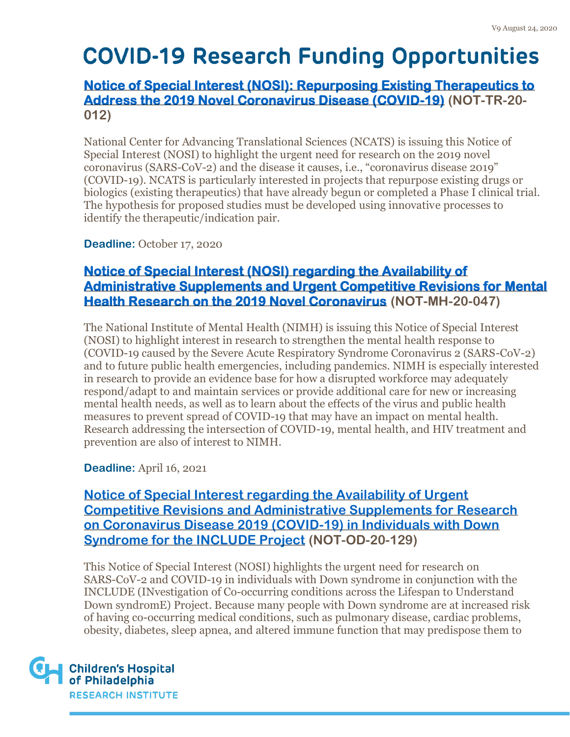#### **[Notice of Special Interest \(NOSI\): Repurposing Existing Therapeutics to](https://grants.nih.gov/grants/guide/notice-files/NOT-TR-20-012.html)  [Address the 2019 Novel Coronavirus Disease \(COVID-19\)](https://grants.nih.gov/grants/guide/notice-files/NOT-TR-20-012.html) (NOT-TR-20- 012)**

National Center for Advancing Translational Sciences (NCATS) is issuing this Notice of Special Interest (NOSI) to highlight the urgent need for research on the 2019 novel coronavirus (SARS-CoV-2) and the disease it causes, i.e., "coronavirus disease 2019" (COVID-19). NCATS is particularly interested in projects that repurpose existing drugs or biologics (existing therapeutics) that have already begun or completed a Phase I clinical trial. The hypothesis for proposed studies must be developed using innovative processes to identify the therapeutic/indication pair.

**Deadline:** October 17, 2020

#### **[Notice of Special Interest \(NOSI\) regarding the Availability of](https://grants.nih.gov/grants/guide/notice-files/NOT-MH-20-047.html)  [Administrative Supplements and Urgent Competitive Revisions for Mental](https://grants.nih.gov/grants/guide/notice-files/NOT-MH-20-047.html)  [Health Research on the 2019 Novel Coronavirus](https://grants.nih.gov/grants/guide/notice-files/NOT-MH-20-047.html) (NOT-MH-20-047)**

The National Institute of Mental Health (NIMH) is issuing this Notice of Special Interest (NOSI) to highlight interest in research to strengthen the mental health response to (COVID-19 caused by the Severe Acute Respiratory Syndrome Coronavirus 2 (SARS-CoV-2) and to future public health emergencies, including pandemics. NIMH is especially interested in research to provide an evidence base for how a disrupted workforce may adequately respond/adapt to and maintain services or provide additional care for new or increasing mental health needs, as well as to learn about the effects of the virus and public health measures to prevent spread of COVID-19 that may have an impact on mental health. Research addressing the intersection of COVID-19, mental health, and HIV treatment and prevention are also of interest to NIMH.

**Deadline:** April 16, 2021

**[Notice of Special Interest regarding the Availability of Urgent](http://grants.nih.gov/grants/guide/notice-files/NOT-OD-20-129.html)  [Competitive Revisions and Administrative Supplements for Research](http://grants.nih.gov/grants/guide/notice-files/NOT-OD-20-129.html)  [on Coronavirus Disease 2019 \(COVID-19\) in Individuals with Down](http://grants.nih.gov/grants/guide/notice-files/NOT-OD-20-129.html)  [Syndrome for the INCLUDE Project](http://grants.nih.gov/grants/guide/notice-files/NOT-OD-20-129.html) (NOT-OD-20-129)** 

This Notice of Special Interest (NOSI) highlights the urgent need for research on SARS-CoV-2 and COVID-19 in individuals with Down syndrome in conjunction with the INCLUDE (INvestigation of Co-occurring conditions across the Lifespan to Understand Down syndromE) Project. Because many people with Down syndrome are at increased risk of having co-occurring medical conditions, such as pulmonary disease, cardiac problems, obesity, diabetes, sleep apnea, and altered immune function that may predispose them to

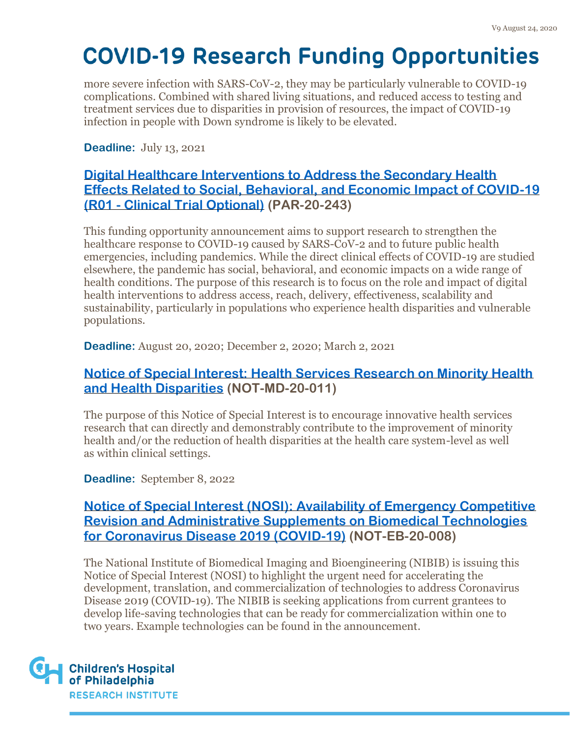more severe infection with SARS-CoV-2, they may be particularly vulnerable to COVID-19 complications. Combined with shared living situations, and reduced access to testing and treatment services due to disparities in provision of resources, the impact of COVID-19 infection in people with Down syndrome is likely to be elevated.

**Deadline:** July 13, 2021

#### **[Digital Healthcare Interventions to Address the Secondary Health](http://grants.nih.gov/grants/guide/pa-files/PAR-20-243.html)  [Effects Related to Social, Behavioral, and Economic Impact of COVID-19](http://grants.nih.gov/grants/guide/pa-files/PAR-20-243.html)  (R01 - [Clinical Trial Optional\)](http://grants.nih.gov/grants/guide/pa-files/PAR-20-243.html) (PAR-20-243)**

This funding opportunity announcement aims to support research to strengthen the healthcare response to COVID-19 caused by SARS-CoV-2 and to future public health emergencies, including pandemics. While the direct clinical effects of COVID-19 are studied elsewhere, the pandemic has social, behavioral, and economic impacts on a wide range of health conditions. The purpose of this research is to focus on the role and impact of digital health interventions to address access, reach, delivery, effectiveness, scalability and sustainability, particularly in populations who experience health disparities and vulnerable populations.

**Deadline:** August 20, 2020; December 2, 2020; March 2, 2021

#### **[Notice of Special Interest: Health Services Research on Minority Health](https://grants.nih.gov/grants/guide/notice-files/NOT-MD-20-011.html)  [and Health Disparities](https://grants.nih.gov/grants/guide/notice-files/NOT-MD-20-011.html) (NOT-MD-20-011)**

The purpose of this Notice of Special Interest is to encourage innovative health services research that can directly and demonstrably contribute to the improvement of minority health and/or the reduction of health disparities at the health care system-level as well as within clinical settings.

**Deadline:** September 8, 2022

#### **[Notice of Special Interest \(NOSI\): Availability of Emergency Competitive](https://grants.nih.gov/grants/guide/notice-files/NOT-EB-20-008.html)  [Revision and Administrative Supplements on Biomedical Technologies](https://grants.nih.gov/grants/guide/notice-files/NOT-EB-20-008.html)  [for Coronavirus Disease 2019 \(COVID-19\)](https://grants.nih.gov/grants/guide/notice-files/NOT-EB-20-008.html) (NOT-EB-20-008)**

The National Institute of Biomedical Imaging and Bioengineering (NIBIB) is issuing this Notice of Special Interest (NOSI) to highlight the urgent need for accelerating the development, translation, and commercialization of technologies to address Coronavirus Disease 2019 (COVID-19). The NIBIB is seeking applications from current grantees to develop life-saving technologies that can be ready for commercialization within one to two years. Example technologies can be found in the announcement.

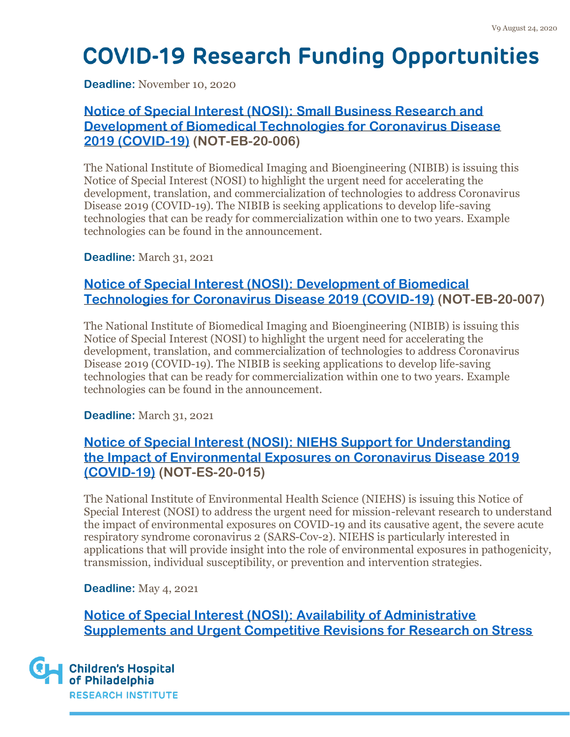**Deadline:** November 10, 2020

#### **[Notice of Special Interest \(NOSI\): Small Business Research and](https://grants.nih.gov/grants/guide/notice-files/NOT-EB-20-006.html)  [Development of Biomedical Technologies for Coronavirus Disease](https://grants.nih.gov/grants/guide/notice-files/NOT-EB-20-006.html)  [2019 \(COVID-19\)](https://grants.nih.gov/grants/guide/notice-files/NOT-EB-20-006.html) (NOT-EB-20-006)**

The National Institute of Biomedical Imaging and Bioengineering (NIBIB) is issuing this Notice of Special Interest (NOSI) to highlight the urgent need for accelerating the development, translation, and commercialization of technologies to address Coronavirus Disease 2019 (COVID-19). The NIBIB is seeking applications to develop life-saving technologies that can be ready for commercialization within one to two years. Example technologies can be found in the announcement.

**Deadline:** March 31, 2021

#### **[Notice of Special Interest \(NOSI\): Development of Biomedical](https://grants.nih.gov/grants/guide/notice-files/NOT-EB-20-007.html)  [Technologies for Coronavirus Disease 2019 \(COVID-19\)](https://grants.nih.gov/grants/guide/notice-files/NOT-EB-20-007.html) (NOT-EB-20-007)**

The National Institute of Biomedical Imaging and Bioengineering (NIBIB) is issuing this Notice of Special Interest (NOSI) to highlight the urgent need for accelerating the development, translation, and commercialization of technologies to address Coronavirus Disease 2019 (COVID-19). The NIBIB is seeking applications to develop life-saving technologies that can be ready for commercialization within one to two years. Example technologies can be found in the announcement.

**Deadline:** March 31, 2021

#### **[Notice of Special Interest \(NOSI\): NIEHS Support for Understanding](https://grants.nih.gov/grants/guide/notice-files/NOT-ES-20-015.html)  [the Impact of Environmental Exposures on Coronavirus Disease 2019](https://grants.nih.gov/grants/guide/notice-files/NOT-ES-20-015.html)  [\(COVID-19\)](https://grants.nih.gov/grants/guide/notice-files/NOT-ES-20-015.html) (NOT-ES-20-015)**

The National Institute of Environmental Health Science (NIEHS) is issuing this Notice of Special Interest (NOSI) to address the urgent need for mission-relevant research to understand the impact of environmental exposures on COVID-19 and its causative agent, the severe acute respiratory syndrome coronavirus 2 (SARS-Cov-2). NIEHS is particularly interested in applications that will provide insight into the role of environmental exposures in pathogenicity, transmission, individual susceptibility, or prevention and intervention strategies.

**Deadline:** May 4, 2021

**[Notice of Special Interest \(NOSI\): Availability of Administrative](https://grants.nih.gov/grants/guide/notice-files/NOT-AT-20-011.html)  [Supplements and Urgent Competitive Revisions for Research on Stress](https://grants.nih.gov/grants/guide/notice-files/NOT-AT-20-011.html)** 

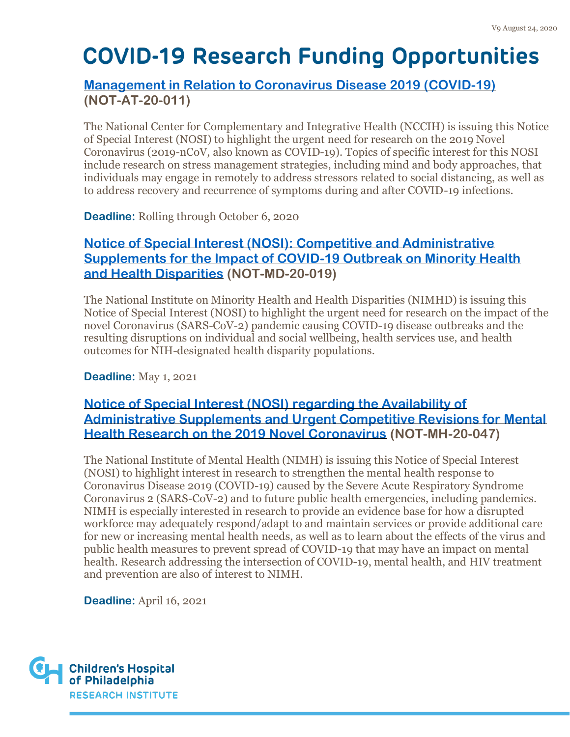#### **[Management in Relation to Coronavirus](https://grants.nih.gov/grants/guide/notice-files/NOT-AT-20-011.html) Disease 2019 (COVID-19) (NOT-AT-20-011)**

The National Center for Complementary and Integrative Health (NCCIH) is issuing this Notice of Special Interest (NOSI) to highlight the urgent need for research on the 2019 Novel Coronavirus (2019-nCoV, also known as COVID-19). Topics of specific interest for this NOSI include research on stress management strategies, including mind and body approaches, that individuals may engage in remotely to address stressors related to social distancing, as well as to address recovery and recurrence of symptoms during and after COVID-19 infections.

**Deadline:** Rolling through October 6, 2020

#### **[Notice of Special Interest \(NOSI\): Competitive and Administrative](https://grants.nih.gov/grants/guide/notice-files/NOT-MD-20-019.html)  [Supplements for the Impact of COVID-19 Outbreak on Minority Health](https://grants.nih.gov/grants/guide/notice-files/NOT-MD-20-019.html)  [and Health Disparities](https://grants.nih.gov/grants/guide/notice-files/NOT-MD-20-019.html) (NOT-MD-20-019)**

The National Institute on Minority Health and Health Disparities (NIMHD) is issuing this Notice of Special Interest (NOSI) to highlight the urgent need for research on the impact of the novel Coronavirus (SARS-CoV-2) pandemic causing COVID-19 disease outbreaks and the resulting disruptions on individual and social wellbeing, health services use, and health outcomes for NIH-designated health disparity populations.

**Deadline:** May 1, 2021

#### **[Notice of Special Interest \(NOSI\) regarding the Availability of](https://grants.nih.gov/grants/guide/notice-files/NOT-MH-20-047.html)  [Administrative Supplements and Urgent Competitive Revisions for Mental](https://grants.nih.gov/grants/guide/notice-files/NOT-MH-20-047.html)  [Health Research on the 2019 Novel Coronavirus](https://grants.nih.gov/grants/guide/notice-files/NOT-MH-20-047.html) (NOT-MH-20-047)**

The National Institute of Mental Health (NIMH) is issuing this Notice of Special Interest (NOSI) to highlight interest in research to strengthen the mental health response to Coronavirus Disease 2019 (COVID-19) caused by the Severe Acute Respiratory Syndrome Coronavirus 2 (SARS-CoV-2) and to future public health emergencies, including pandemics. NIMH is especially interested in research to provide an evidence base for how a disrupted workforce may adequately respond/adapt to and maintain services or provide additional care for new or increasing mental health needs, as well as to learn about the effects of the virus and public health measures to prevent spread of COVID-19 that may have an impact on mental health. Research addressing the intersection of COVID-19, mental health, and HIV treatment and prevention are also of interest to NIMH.

**Deadline:** April 16, 2021

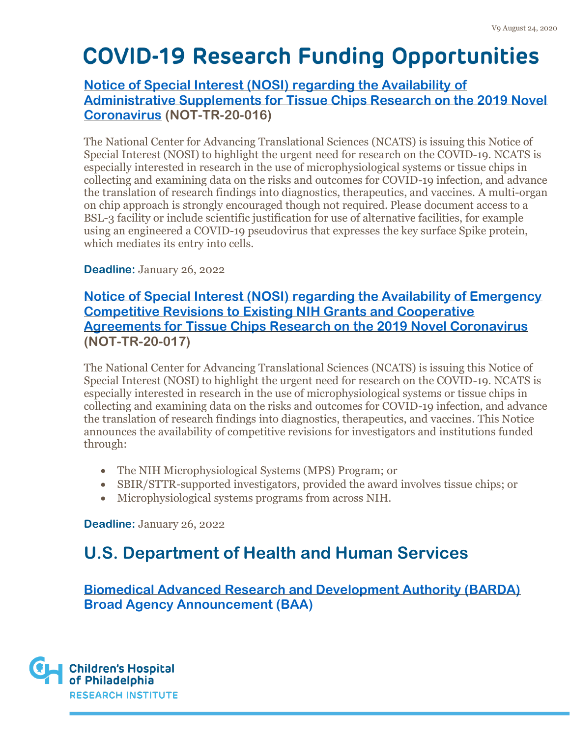#### **[Notice of Special Interest \(NOSI\) regarding the Availability of](https://grants.nih.gov/grants/guide/notice-files/NOT-TR-20-016.html)  [Administrative Supplements for Tissue Chips Research on the 2019 Novel](https://grants.nih.gov/grants/guide/notice-files/NOT-TR-20-016.html)  [Coronavirus](https://grants.nih.gov/grants/guide/notice-files/NOT-TR-20-016.html) (NOT-TR-20-016)**

The National Center for Advancing Translational Sciences (NCATS) is issuing this Notice of Special Interest (NOSI) to highlight the urgent need for research on the COVID-19. NCATS is especially interested in research in the use of microphysiological systems or tissue chips in collecting and examining data on the risks and outcomes for COVID-19 infection, and advance the translation of research findings into diagnostics, therapeutics, and vaccines. A multi-organ on chip approach is strongly encouraged though not required. Please document access to a BSL-3 facility or include scientific justification for use of alternative facilities, for example using an engineered a COVID-19 pseudovirus that expresses the key surface Spike protein, which mediates its entry into cells.

#### **Deadline:** January 26, 2022

#### **[Notice of Special Interest \(NOSI\) regarding the Availability of Emergency](https://grants.nih.gov/grants/guide/notice-files/NOT-TR-20-017.html)  [Competitive Revisions to Existing NIH Grants and Cooperative](https://grants.nih.gov/grants/guide/notice-files/NOT-TR-20-017.html)  [Agreements for Tissue Chips Research on](https://grants.nih.gov/grants/guide/notice-files/NOT-TR-20-017.html) the 2019 Novel Coronavirus (NOT-TR-20-017)**

The National Center for Advancing Translational Sciences (NCATS) is issuing this Notice of Special Interest (NOSI) to highlight the urgent need for research on the COVID-19. NCATS is especially interested in research in the use of microphysiological systems or tissue chips in collecting and examining data on the risks and outcomes for COVID-19 infection, and advance the translation of research findings into diagnostics, therapeutics, and vaccines. This Notice announces the availability of competitive revisions for investigators and institutions funded through:

- The NIH Microphysiological Systems (MPS) Program; or
- SBIR/STTR-supported investigators, provided the award involves tissue chips; or
- Microphysiological systems programs from across NIH.

**Deadline:** January 26, 2022

## **U.S. Department of Health and Human Services**

**[Biomedical Advanced Research and Development Authority \(BARDA\)](https://beta.sam.gov/opp/1b46a4169fcb4902b9c4fcbb5bf981f7/view)  [Broad Agency Announcement \(BAA\)](https://beta.sam.gov/opp/1b46a4169fcb4902b9c4fcbb5bf981f7/view)** 

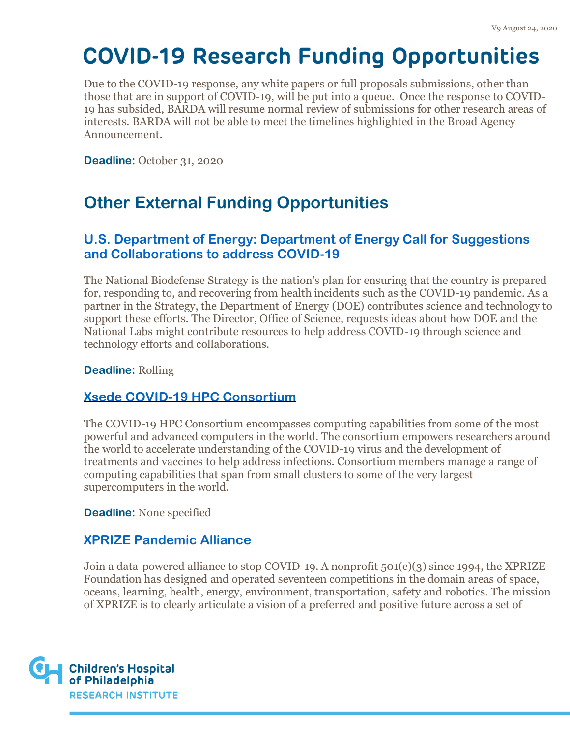Due to the COVID-19 response, any white papers or full proposals submissions, other than those that are in support of COVID-19, will be put into a queue. Once the response to COVID-19 has subsided, BARDA will resume normal review of submissions for other research areas of interests. BARDA will not be able to meet the timelines highlighted in the Broad Agency Announcement.

**Deadline: October 31, 2020** 

### **Other External Funding Opportunities**

#### **[U.S. Department of Energy: Department of Energy Call for Suggestions](https://science.osti.gov/-/media/sc-1/pdf/COVID-19-letter.pdf?utm_medium=email&utm_source=FYI&dm_i=1ZJN,6SFVW,WRS9R5,R651M,1)  [and Collaborations to address COVID-19](https://science.osti.gov/-/media/sc-1/pdf/COVID-19-letter.pdf?utm_medium=email&utm_source=FYI&dm_i=1ZJN,6SFVW,WRS9R5,R651M,1)**

The National Biodefense Strategy is the nation's plan for ensuring that the country is prepared for, responding to, and recovering from health incidents such as the COVID-19 pandemic. As a partner in the Strategy, the Department of Energy (DOE) contributes science and technology to support these efforts. The Director, Office of Science, requests ideas about how DOE and the National Labs might contribute resources to help address COVID-19 through science and technology efforts and collaborations.

#### **Deadline:** Rolling

#### **[Xsede COVID-19 HPC Consortium](https://www.xsede.org/covid19-hpc-consortium)**

The COVID-19 HPC Consortium encompasses computing capabilities from some of the most powerful and advanced computers in the world. The consortium empowers researchers around the world to accelerate understanding of the COVID-19 virus and the development of treatments and vaccines to help address infections. Consortium members manage a range of computing capabilities that span from small clusters to some of the very largest supercomputers in the world.

**Deadline:** None specified

#### **[XPRIZE Pandemic Alliance](https://www.xprize.org/fight-covid19)**

Join a data-powered alliance to stop COVID-19. A nonprofit 501(c)(3) since 1994, the XPRIZE Foundation has designed and operated seventeen competitions in the domain areas of space, oceans, learning, health, energy, environment, transportation, safety and robotics. The mission of XPRIZE is to clearly articulate a vision of a preferred and positive future across a set of

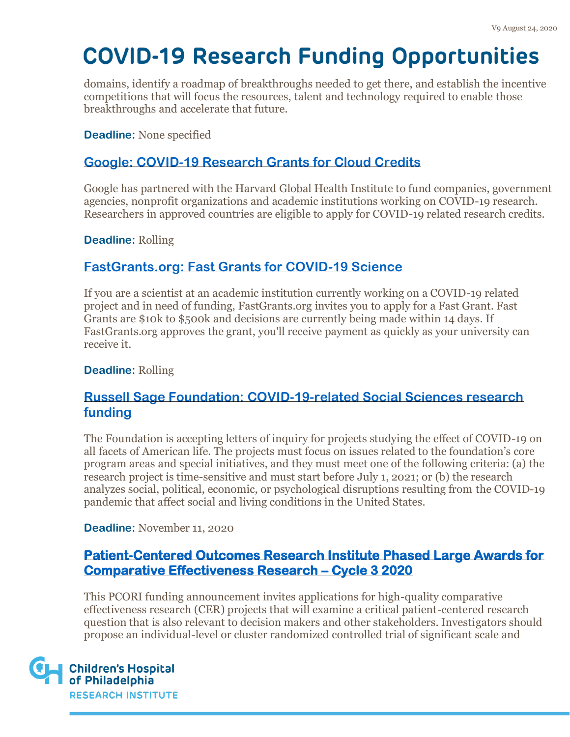domains, identify a roadmap of breakthroughs needed to get there, and establish the incentive competitions that will focus the resources, talent and technology required to enable those breakthroughs and accelerate that future.

**Deadline:** None specified

#### **[Google: COVID-19 Research Grants for Cloud Credits](https://edu.google.com/programs/credits/research/?modal_active=none)**

Google has partnered with the Harvard Global Health Institute to fund companies, government agencies, nonprofit organizations and academic institutions working on COVID-19 research. Researchers in approved countries are eligible to apply for COVID-19 related research credits.

**Deadline:** Rolling

#### **[FastGrants.org: Fast Grants for COVID-19](https://fastgrants.org/) Science**

If you are a scientist at an academic institution currently working on a COVID-19 related project and in need of funding, FastGrants.org invites you to apply for a Fast Grant. Fast Grants are \$10k to \$500k and decisions are currently being made within 14 days. If FastGrants.org approves the grant, you'll receive payment as quickly as your university can receive it.

**Deadline:** Rolling

#### **[Russell Sage Foundation: COVID-19-related Social Sciences research](https://www.russellsage.org/how-to-apply)  [funding](https://www.russellsage.org/how-to-apply)**

The Foundation is accepting letters of inquiry for projects studying the effect of COVID-19 on all facets of American life. The projects must focus on issues related to the foundation's core program areas and special initiatives, and they must meet one of the following criteria: (a) the research project is time-sensitive and must start before July 1, 2021; or (b) the research analyzes social, political, economic, or psychological disruptions resulting from the COVID-19 pandemic that affect social and living conditions in the United States.

**Deadline:** November 11, 2020

#### **[Patient-Centered Outcomes Research Institute Phased Large Awards for](https://www.pcori.org/funding-opportunities/announcement/phased-large-awards-comparative-effectiveness-research-cycle-3-2020?utm_source=weeklyemail&utm_medium=email&utm_campaign=060920)  [Comparative Effectiveness Research](https://www.pcori.org/funding-opportunities/announcement/phased-large-awards-comparative-effectiveness-research-cycle-3-2020?utm_source=weeklyemail&utm_medium=email&utm_campaign=060920) – Cycle 3 2020**

This PCORI funding announcement invites applications for high-quality comparative effectiveness research (CER) projects that will examine a critical patient-centered research question that is also relevant to decision makers and other stakeholders. Investigators should propose an individual-level or cluster randomized controlled trial of significant scale and